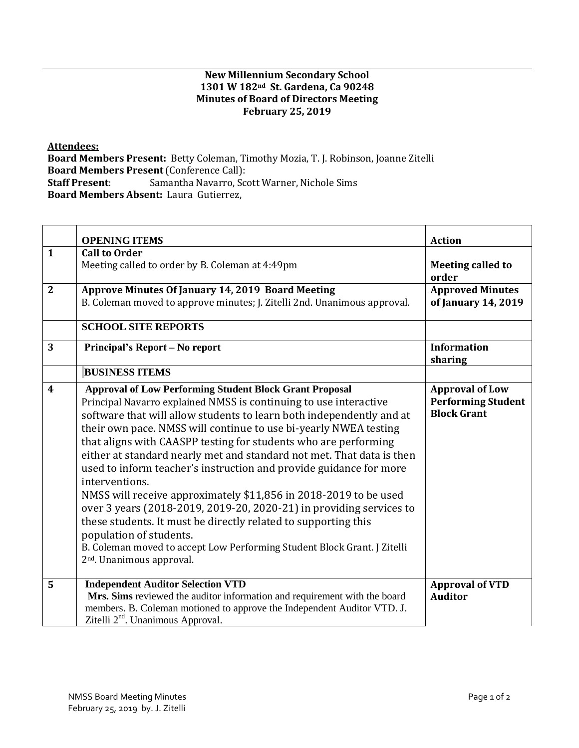## **New Millennium Secondary School 1301 W 182nd St. Gardena, Ca 90248 Minutes of Board of Directors Meeting February 25, 2019**

**Attendees:** 

**Board Members Present:** Betty Coleman, Timothy Mozia, T. J. Robinson, Joanne Zitelli **Board Members Present** (Conference Call): **Staff Present**: Samantha Navarro, Scott Warner, Nichole Sims **Board Members Absent:** Laura Gutierrez,

|                         | <b>OPENING ITEMS</b>                                                                                                                                                                                                                                                                                                                                                                                                                                                                                                                                                                                                                                                                                                                                                                                                                                                             | <b>Action</b>                                                             |
|-------------------------|----------------------------------------------------------------------------------------------------------------------------------------------------------------------------------------------------------------------------------------------------------------------------------------------------------------------------------------------------------------------------------------------------------------------------------------------------------------------------------------------------------------------------------------------------------------------------------------------------------------------------------------------------------------------------------------------------------------------------------------------------------------------------------------------------------------------------------------------------------------------------------|---------------------------------------------------------------------------|
| $\mathbf{1}$            | <b>Call to Order</b><br>Meeting called to order by B. Coleman at 4:49pm                                                                                                                                                                                                                                                                                                                                                                                                                                                                                                                                                                                                                                                                                                                                                                                                          | <b>Meeting called to</b><br>order                                         |
| $\overline{2}$          | Approve Minutes Of January 14, 2019 Board Meeting<br>B. Coleman moved to approve minutes; J. Zitelli 2nd. Unanimous approval.                                                                                                                                                                                                                                                                                                                                                                                                                                                                                                                                                                                                                                                                                                                                                    | <b>Approved Minutes</b><br>of January 14, 2019                            |
|                         | <b>SCHOOL SITE REPORTS</b>                                                                                                                                                                                                                                                                                                                                                                                                                                                                                                                                                                                                                                                                                                                                                                                                                                                       |                                                                           |
| 3                       | Principal's Report – No report                                                                                                                                                                                                                                                                                                                                                                                                                                                                                                                                                                                                                                                                                                                                                                                                                                                   | <b>Information</b><br>sharing                                             |
|                         | <b>BUSINESS ITEMS</b>                                                                                                                                                                                                                                                                                                                                                                                                                                                                                                                                                                                                                                                                                                                                                                                                                                                            |                                                                           |
| $\overline{\mathbf{4}}$ | <b>Approval of Low Performing Student Block Grant Proposal</b><br>Principal Navarro explained NMSS is continuing to use interactive<br>software that will allow students to learn both independently and at<br>their own pace. NMSS will continue to use bi-yearly NWEA testing<br>that aligns with CAASPP testing for students who are performing<br>either at standard nearly met and standard not met. That data is then<br>used to inform teacher's instruction and provide guidance for more<br>interventions.<br>NMSS will receive approximately \$11,856 in 2018-2019 to be used<br>over 3 years (2018-2019, 2019-20, 2020-21) in providing services to<br>these students. It must be directly related to supporting this<br>population of students.<br>B. Coleman moved to accept Low Performing Student Block Grant. J Zitelli<br>2 <sup>nd</sup> . Unanimous approval. | <b>Approval of Low</b><br><b>Performing Student</b><br><b>Block Grant</b> |
| 5                       | <b>Independent Auditor Selection VTD</b><br>Mrs. Sims reviewed the auditor information and requirement with the board<br>members. B. Coleman motioned to approve the Independent Auditor VTD. J.<br>Zitelli 2 <sup>nd</sup> . Unanimous Approval.                                                                                                                                                                                                                                                                                                                                                                                                                                                                                                                                                                                                                                | <b>Approval of VTD</b><br><b>Auditor</b>                                  |